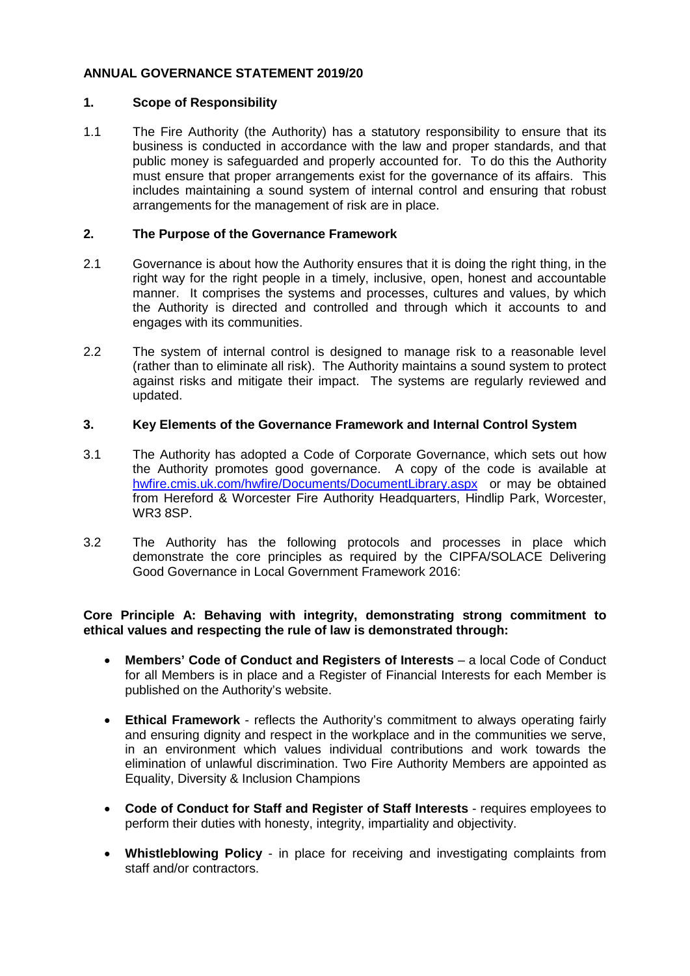# **ANNUAL GOVERNANCE STATEMENT 2019/20**

# **1. Scope of Responsibility**

1.1 The Fire Authority (the Authority) has a statutory responsibility to ensure that its business is conducted in accordance with the law and proper standards, and that public money is safeguarded and properly accounted for. To do this the Authority must ensure that proper arrangements exist for the governance of its affairs. This includes maintaining a sound system of internal control and ensuring that robust arrangements for the management of risk are in place.

### **2. The Purpose of the Governance Framework**

- 2.1 Governance is about how the Authority ensures that it is doing the right thing, in the right way for the right people in a timely, inclusive, open, honest and accountable manner. It comprises the systems and processes, cultures and values, by which the Authority is directed and controlled and through which it accounts to and engages with its communities.
- 2.2 The system of internal control is designed to manage risk to a reasonable level (rather than to eliminate all risk). The Authority maintains a sound system to protect against risks and mitigate their impact. The systems are regularly reviewed and updated.

# **3. Key Elements of the Governance Framework and Internal Control System**

- 3.1 The Authority has adopted a Code of Corporate Governance, which sets out how the Authority promotes good governance. A copy of the code is available at [hwfire.cmis.uk.com/hwfire/Documents/DocumentLibrary.aspx](https://hwfire.cmis.uk.com/hwfire/Documents/DocumentLibrary.aspx) or may be obtained from Hereford & Worcester Fire Authority Headquarters, Hindlip Park, Worcester, WR3 8SP.
- 3.2 The Authority has the following protocols and processes in place which demonstrate the core principles as required by the CIPFA/SOLACE Delivering Good Governance in Local Government Framework 2016:

# **Core Principle A: Behaving with integrity, demonstrating strong commitment to ethical values and respecting the rule of law is demonstrated through:**

- **Members' Code of Conduct and Registers of Interests** a local Code of Conduct for all Members is in place and a Register of Financial Interests for each Member is published on the Authority's website.
- **Ethical Framework**  reflects the Authority's commitment to always operating fairly and ensuring dignity and respect in the workplace and in the communities we serve, in an environment which values individual contributions and work towards the elimination of unlawful discrimination. Two Fire Authority Members are appointed as Equality, Diversity & Inclusion Champions
- **Code of Conduct for Staff and Register of Staff Interests** requires employees to perform their duties with honesty, integrity, impartiality and objectivity.
- **Whistleblowing Policy** in place for receiving and investigating complaints from staff and/or contractors.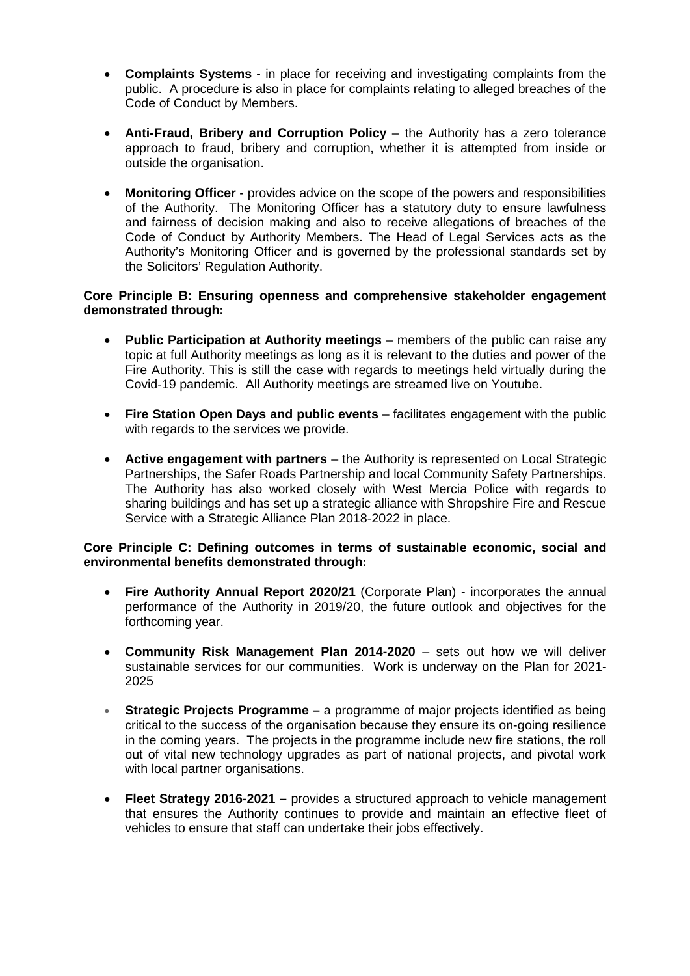- **Complaints Systems** in place for receiving and investigating complaints from the public. A procedure is also in place for complaints relating to alleged breaches of the Code of Conduct by Members.
- **Anti-Fraud, Bribery and Corruption Policy** the Authority has a zero tolerance approach to fraud, bribery and corruption, whether it is attempted from inside or outside the organisation.
- **Monitoring Officer** provides advice on the scope of the powers and responsibilities of the Authority. The Monitoring Officer has a statutory duty to ensure lawfulness and fairness of decision making and also to receive allegations of breaches of the Code of Conduct by Authority Members. The Head of Legal Services acts as the Authority's Monitoring Officer and is governed by the professional standards set by the Solicitors' Regulation Authority.

### **Core Principle B: Ensuring openness and comprehensive stakeholder engagement demonstrated through:**

- **Public Participation at Authority meetings** members of the public can raise any topic at full Authority meetings as long as it is relevant to the duties and power of the Fire Authority. This is still the case with regards to meetings held virtually during the Covid-19 pandemic. All Authority meetings are streamed live on Youtube.
- **Fire Station Open Days and public events** facilitates engagement with the public with regards to the services we provide.
- **Active engagement with partners** the Authority is represented on Local Strategic Partnerships, the Safer Roads Partnership and local Community Safety Partnerships. The Authority has also worked closely with West Mercia Police with regards to sharing buildings and has set up a strategic alliance with Shropshire Fire and Rescue Service with a Strategic Alliance Plan 2018-2022 in place.

#### **Core Principle C: Defining outcomes in terms of sustainable economic, social and environmental benefits demonstrated through:**

- **Fire Authority Annual Report 2020/21** (Corporate Plan) incorporates the annual performance of the Authority in 2019/20, the future outlook and objectives for the forthcoming year.
- **Community Risk Management Plan 2014-2020** sets out how we will deliver sustainable services for our communities. Work is underway on the Plan for 2021- 2025
- **Strategic Projects Programme –** a programme of major projects identified as being critical to the success of the organisation because they ensure its on-going resilience in the coming years. The projects in the programme include new fire stations, the roll out of vital new technology upgrades as part of national projects, and pivotal work with local partner organisations.
- **Fleet Strategy 2016-2021 –** provides a structured approach to vehicle management that ensures the Authority continues to provide and maintain an effective fleet of vehicles to ensure that staff can undertake their jobs effectively.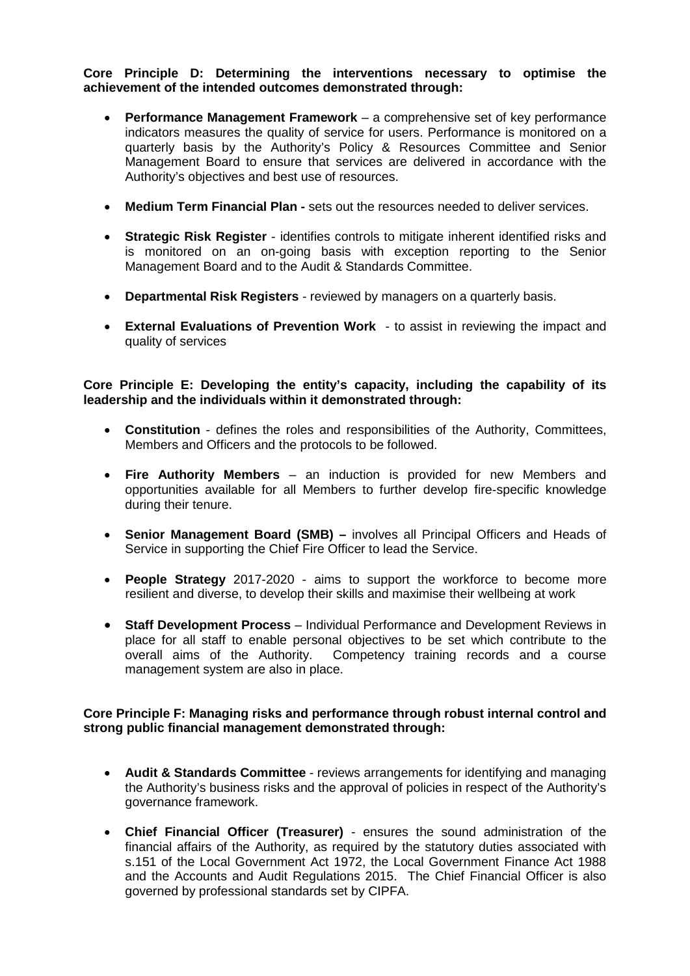### **Core Principle D: Determining the interventions necessary to optimise the achievement of the intended outcomes demonstrated through:**

- **Performance Management Framework** a comprehensive set of key performance indicators measures the quality of service for users. Performance is monitored on a quarterly basis by the Authority's Policy & Resources Committee and Senior Management Board to ensure that services are delivered in accordance with the Authority's objectives and best use of resources.
- **Medium Term Financial Plan -** sets out the resources needed to deliver services.
- **Strategic Risk Register** identifies controls to mitigate inherent identified risks and is monitored on an on-going basis with exception reporting to the Senior Management Board and to the Audit & Standards Committee.
- **Departmental Risk Registers** reviewed by managers on a quarterly basis.
- **External Evaluations of Prevention Work**  to assist in reviewing the impact and quality of services

**Core Principle E: Developing the entity's capacity, including the capability of its leadership and the individuals within it demonstrated through:**

- **Constitution** defines the roles and responsibilities of the Authority, Committees, Members and Officers and the protocols to be followed.
- **Fire Authority Members** an induction is provided for new Members and opportunities available for all Members to further develop fire-specific knowledge during their tenure.
- **Senior Management Board (SMB) –** involves all Principal Officers and Heads of Service in supporting the Chief Fire Officer to lead the Service.
- **People Strategy** 2017-2020 aims to support the workforce to become more resilient and diverse, to develop their skills and maximise their wellbeing at work
- **Staff Development Process** Individual Performance and Development Reviews in place for all staff to enable personal objectives to be set which contribute to the overall aims of the Authority. Competency training records and a course management system are also in place.

#### **Core Principle F: Managing risks and performance through robust internal control and strong public financial management demonstrated through:**

- **Audit & Standards Committee** reviews arrangements for identifying and managing the Authority's business risks and the approval of policies in respect of the Authority's governance framework.
- **Chief Financial Officer (Treasurer)** ensures the sound administration of the financial affairs of the Authority, as required by the statutory duties associated with s.151 of the Local Government Act 1972, the Local Government Finance Act 1988 and the Accounts and Audit Regulations 2015. The Chief Financial Officer is also governed by professional standards set by CIPFA.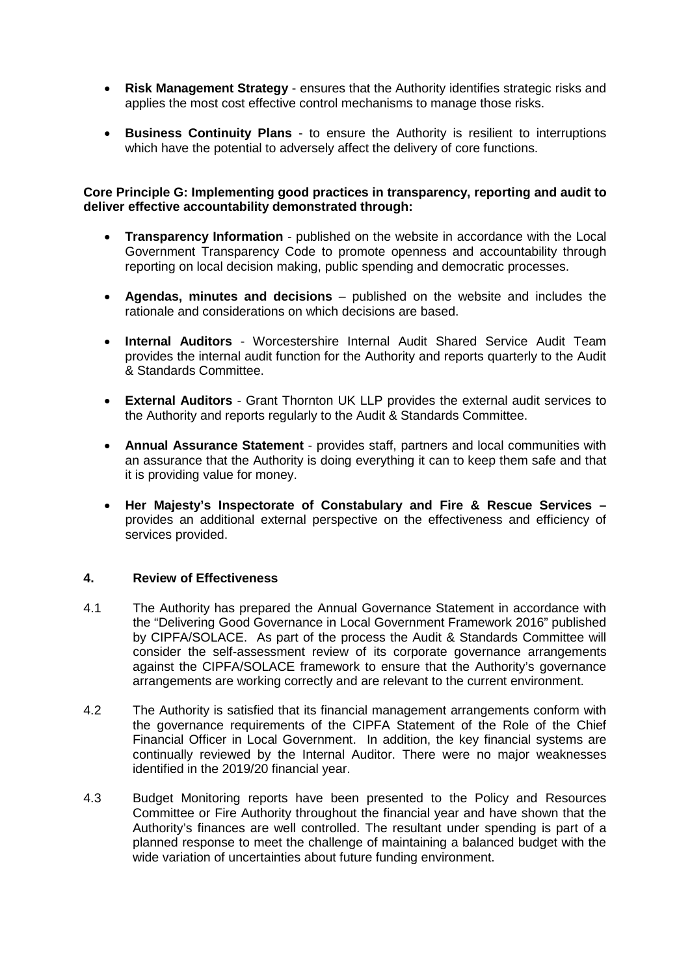- **Risk Management Strategy** ensures that the Authority identifies strategic risks and applies the most cost effective control mechanisms to manage those risks.
- **Business Continuity Plans** to ensure the Authority is resilient to interruptions which have the potential to adversely affect the delivery of core functions.

#### **Core Principle G: Implementing good practices in transparency, reporting and audit to deliver effective accountability demonstrated through:**

- **Transparency Information** published on the website in accordance with the Local Government Transparency Code to promote openness and accountability through reporting on local decision making, public spending and democratic processes.
- **Agendas, minutes and decisions** published on the website and includes the rationale and considerations on which decisions are based.
- **Internal Auditors** Worcestershire Internal Audit Shared Service Audit Team provides the internal audit function for the Authority and reports quarterly to the Audit & Standards Committee.
- **External Auditors**  Grant Thornton UK LLP provides the external audit services to the Authority and reports regularly to the Audit & Standards Committee.
- **Annual Assurance Statement** provides staff, partners and local communities with an assurance that the Authority is doing everything it can to keep them safe and that it is providing value for money.
- **Her Majesty's Inspectorate of Constabulary and Fire & Rescue Services –** provides an additional external perspective on the effectiveness and efficiency of services provided.

# **4. Review of Effectiveness**

- 4.1 The Authority has prepared the Annual Governance Statement in accordance with the "Delivering Good Governance in Local Government Framework 2016" published by CIPFA/SOLACE. As part of the process the Audit & Standards Committee will consider the self-assessment review of its corporate governance arrangements against the CIPFA/SOLACE framework to ensure that the Authority's governance arrangements are working correctly and are relevant to the current environment.
- 4.2 The Authority is satisfied that its financial management arrangements conform with the governance requirements of the CIPFA Statement of the Role of the Chief Financial Officer in Local Government. In addition, the key financial systems are continually reviewed by the Internal Auditor. There were no major weaknesses identified in the 2019/20 financial year.
- 4.3 Budget Monitoring reports have been presented to the Policy and Resources Committee or Fire Authority throughout the financial year and have shown that the Authority's finances are well controlled. The resultant under spending is part of a planned response to meet the challenge of maintaining a balanced budget with the wide variation of uncertainties about future funding environment.